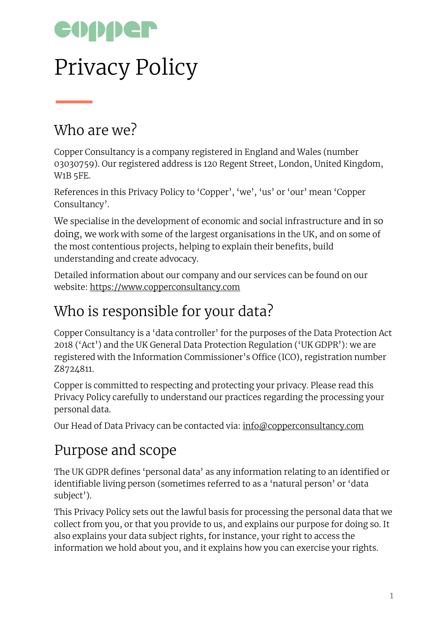

# Privacy Policy

#### Who are we?

Copper Consultancy is a company registered in England and Wales (number 03030759). Our registered address is 120 Regent Street, London, United Kingdom, W1B 5FE.

References in this Privacy Policy to 'Copper', 'we', 'us' or 'our' mean 'Copper Consultancy'.

We specialise in the development of economic and social infrastructure and in so doing, we work with some of the largest organisations in the UK, and on some of the most contentious projects, helping to explain their benefits, build understanding and create advocacy.

Detailed information about our company and our services can be found on our website: [https://www.copperconsultancy.com](https://www.copperconsultancy.com/)

### Who is responsible for your data?

Copper Consultancy is a 'data controller' for the purposes of the Data Protection Act 2018 ('Act') and the UK General Data Protection Regulation ('UK GDPR'): we are registered with the Information Commissioner's Office (ICO), registration number Z8724811.

Copper is committed to respecting and protecting your privacy. Please read this Privacy Policy carefully to understand our practices regarding the processing your personal data.

Our Head of Data Privacy can be contacted via: [info@copperconsultancy.com](mailto:info@copperconsultancy.com)

### Purpose and scope

The UK GDPR defines 'personal data' as any information relating to an identified or identifiable living person (sometimes referred to as a 'natural person' or 'data subject').

This Privacy Policy sets out the lawful basis for processing the personal data that we collect from you, or that you provide to us, and explains our purpose for doing so. It also explains your data subject rights, for instance, your right to access the information we hold about you, and it explains how you can exercise your rights.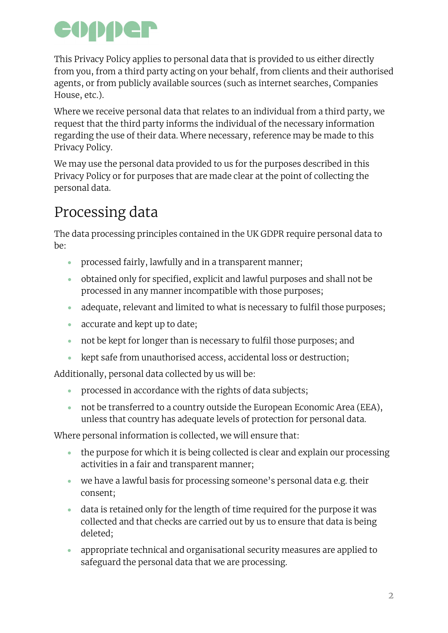This Privacy Policy applies to personal data that is provided to us either directly from you, from a third party acting on your behalf, from clients and their authorised agents, or from publicly available sources (such as internet searches, Companies House, etc.).

Where we receive personal data that relates to an individual from a third party, we request that the third party informs the individual of the necessary information regarding the use of their data. Where necessary, reference may be made to this Privacy Policy.

We may use the personal data provided to us for the purposes described in this Privacy Policy or for purposes that are made clear at the point of collecting the personal data.

## Processing data

The data processing principles contained in the UK GDPR require personal data to be:

- processed fairly, lawfully and in a transparent manner;
- obtained only for specified, explicit and lawful purposes and shall not be processed in any manner incompatible with those purposes;
- adequate, relevant and limited to what is necessary to fulfil those purposes;
- accurate and kept up to date;
- not be kept for longer than is necessary to fulfil those purposes; and
- kept safe from unauthorised access, accidental loss or destruction;

Additionally, personal data collected by us will be:

- processed in accordance with the rights of data subjects;
- not be transferred to a country outside the European Economic Area (EEA), unless that country has adequate levels of protection for personal data.

Where personal information is collected, we will ensure that:

- the purpose for which it is being collected is clear and explain our processing activities in a fair and transparent manner;
- we have a lawful basis for processing someone's personal data e.g. their consent;
- data is retained only for the length of time required for the purpose it was collected and that checks are carried out by us to ensure that data is being deleted;
- appropriate technical and organisational security measures are applied to safeguard the personal data that we are processing.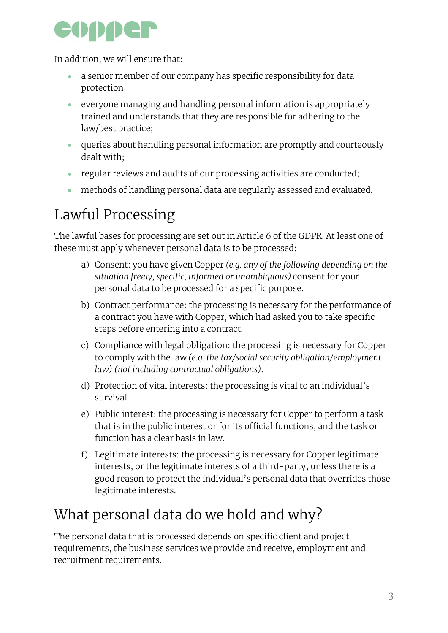

In addition, we will ensure that:

- a senior member of our company has specific responsibility for data protection;
- everyone managing and handling personal information is appropriately trained and understands that they are responsible for adhering to the law/best practice;
- queries about handling personal information are promptly and courteously dealt with;
- regular reviews and audits of our processing activities are conducted;
- methods of handling personal data are regularly assessed and evaluated.

### Lawful Processing

The lawful bases for processing are set out in Article 6 of the GDPR. At least one of these must apply whenever personal data is to be processed:

- a) Consent: you have given Copper *(e.g. any of the following depending on the situation freely, specific, informed or unambiguous)* consent for your personal data to be processed for a specific purpose.
- b) Contract performance: the processing is necessary for the performance of a contract you have with Copper, which had asked you to take specific steps before entering into a contract.
- c) Compliance with legal obligation: the processing is necessary for Copper to comply with the law *(e.g. the tax/social security obligation/employment law) (not including contractual obligations)*.
- d) Protection of vital interests: the processing is vital to an individual's survival.
- e) Public interest: the processing is necessary for Copper to perform a task that is in the public interest or for its official functions, and the task or function has a clear basis in law.
- f) Legitimate interests: the processing is necessary for Copper legitimate interests, or the legitimate interests of a third-party, unless there is a good reason to protect the individual's personal data that overrides those legitimate interests.

### What personal data do we hold and why?

The personal data that is processed depends on specific client and project requirements, the business services we provide and receive, employment and recruitment requirements.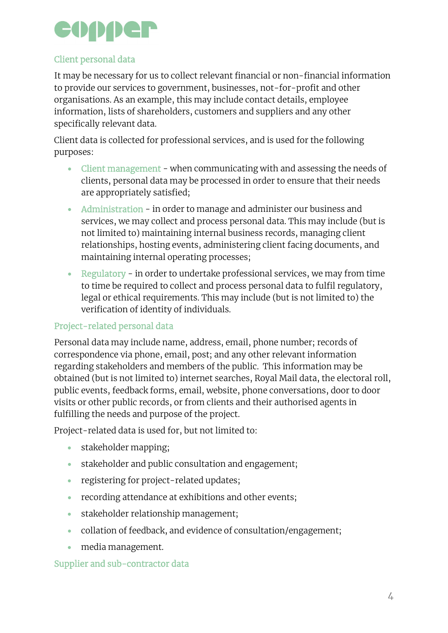

#### Client personal data

It may be necessary for us to collect relevant financial or non-financial information to provide our services to government, businesses, not-for-profit and other organisations. As an example, this may include contact details, employee information, lists of shareholders, customers and suppliers and any other specifically relevant data.

Client data is collected for professional services, and is used for the following purposes:

- Client management when communicating with and assessing the needs of clients, personal data may be processed in order to ensure that their needs are appropriately satisfied;
- Administration in order to manage and administer our business and services, we may collect and process personal data. This may include (but is not limited to) maintaining internal business records, managing client relationships, hosting events, administering client facing documents, and maintaining internal operating processes;
- Regulatory in order to undertake professional services, we may from time to time be required to collect and process personal data to fulfil regulatory, legal or ethical requirements. This may include (but is not limited to) the verification of identity of individuals.

#### Project-related personal data

Personal data may include name, address, email, phone number; records of correspondence via phone, email, post; and any other relevant information regarding stakeholders and members of the public. This information may be obtained (but is not limited to) internet searches, Royal Mail data, the electoral roll, public events, feedback forms, email, website, phone conversations, door to door visits or other public records, or from clients and their authorised agents in fulfilling the needs and purpose of the project.

Project-related data is used for, but not limited to:

- stakeholder mapping;
- stakeholder and public consultation and engagement;
- registering for project-related updates;
- recording attendance at exhibitions and other events;
- stakeholder relationship management;
- collation of feedback, and evidence of consultation/engagement;
- media management.

#### Supplier and sub-contractor data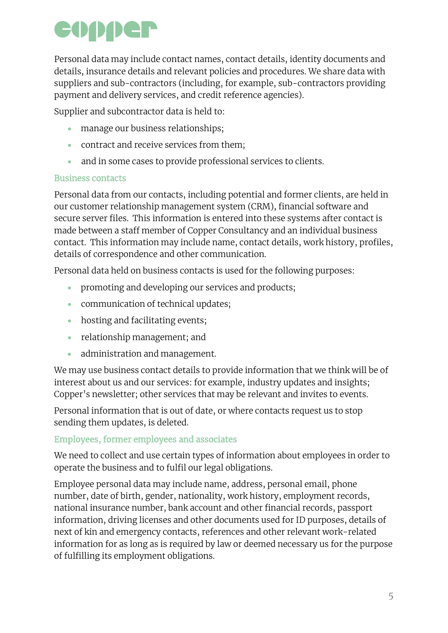Personal data may include contact names, contact details, identity documents and details, insurance details and relevant policies and procedures. We share data with suppliers and sub-contractors (including, for example, sub-contractors providing payment and delivery services, and credit reference agencies).

Supplier and subcontractor data is held to:

- manage our business relationships;
- contract and receive services from them;
- and in some cases to provide professional services to clients.

#### Business contacts

Personal data from our contacts, including potential and former clients, are held in our customer relationship management system (CRM), financial software and secure server files. This information is entered into these systems after contact is made between a staff member of Copper Consultancy and an individual business contact. This information may include name, contact details, work history, profiles, details of correspondence and other communication.

Personal data held on business contacts is used for the following purposes:

- promoting and developing our services and products;
- communication of technical updates;
- hosting and facilitating events;
- relationship management; and
- administration and management.

We may use business contact details to provide information that we think will be of interest about us and our services: for example, industry updates and insights; Copper's newsletter; other services that may be relevant and invites to events.

Personal information that is out of date, or where contacts request us to stop sending them updates, is deleted.

#### Employees, former employees and associates

We need to collect and use certain types of information about employees in order to operate the business and to fulfil our legal obligations.

Employee personal data may include name, address, personal email, phone number, date of birth, gender, nationality, work history, employment records, national insurance number, bank account and other financial records, passport information, driving licenses and other documents used for ID purposes, details of next of kin and emergency contacts, references and other relevant work-related information for as long as is required by law or deemed necessary us for the purpose of fulfilling its employment obligations.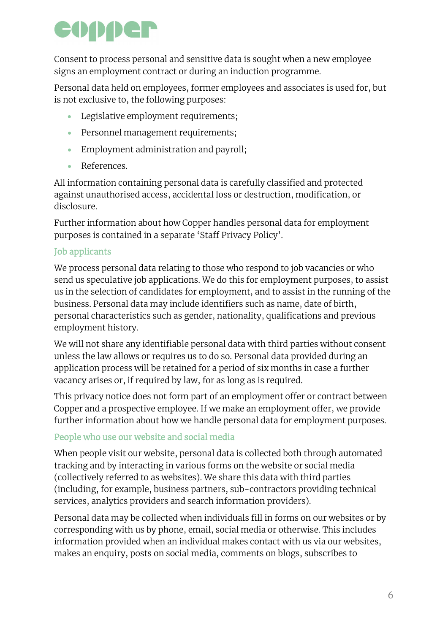Consent to process personal and sensitive data is sought when a new employee signs an employment contract or during an induction programme.

Personal data held on employees, former employees and associates is used for, but is not exclusive to, the following purposes:

- Legislative employment requirements;
- Personnel management requirements;
- Employment administration and payroll;
- References.

All information containing personal data is carefully classified and protected against unauthorised access, accidental loss or destruction, modification, or disclosure.

Further information about how Copper handles personal data for employment purposes is contained in a separate 'Staff Privacy Policy'.

#### Job applicants

We process personal data relating to those who respond to job vacancies or who send us speculative job applications. We do this for employment purposes, to assist us in the selection of candidates for employment, and to assist in the running of the business. Personal data may include identifiers such as name, date of birth, personal characteristics such as gender, nationality, qualifications and previous employment history.

We will not share any identifiable personal data with third parties without consent unless the law allows or requires us to do so. Personal data provided during an application process will be retained for a period of six months in case a further vacancy arises or, if required by law, for as long as is required.

This privacy notice does not form part of an employment offer or contract between Copper and a prospective employee. If we make an employment offer, we provide further information about how we handle personal data for employment purposes.

#### People who use our website and social media

When people visit our website, personal data is collected both through automated tracking and by interacting in various forms on the website or social media (collectively referred to as websites). We share this data with third parties (including, for example, business partners, sub-contractors providing technical services, analytics providers and search information providers).

Personal data may be collected when individuals fill in forms on our websites or by corresponding with us by phone, email, social media or otherwise. This includes information provided when an individual makes contact with us via our websites, makes an enquiry, posts on social media, comments on blogs, subscribes to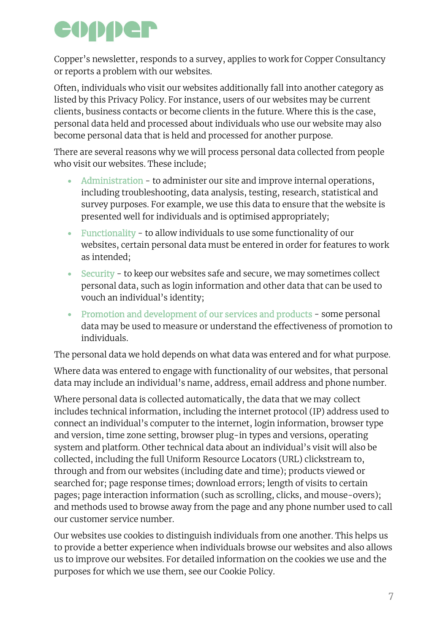Copper's newsletter, responds to a survey, applies to work for Copper Consultancy or reports a problem with our websites.

Often, individuals who visit our websites additionally fall into another category as listed by this Privacy Policy. For instance, users of our websites may be current clients, business contacts or become clients in the future. Where this is the case, personal data held and processed about individuals who use our website may also become personal data that is held and processed for another purpose.

There are several reasons why we will process personal data collected from people who visit our websites. These include;

- Administration to administer our site and improve internal operations, including troubleshooting, data analysis, testing, research, statistical and survey purposes. For example, we use this data to ensure that the website is presented well for individuals and is optimised appropriately;
- Functionality to allow individuals to use some functionality of our websites, certain personal data must be entered in order for features to work as intended;
- Security to keep our websites safe and secure, we may sometimes collect personal data, such as login information and other data that can be used to vouch an individual's identity;
- Promotion and development of our services and products some personal data may be used to measure or understand the effectiveness of promotion to individuals.

The personal data we hold depends on what data was entered and for what purpose.

Where data was entered to engage with functionality of our websites, that personal data may include an individual's name, address, email address and phone number.

Where personal data is collected automatically, the data that we may collect includes technical information, including the internet protocol (IP) address used to connect an individual's computer to the internet, login information, browser type and version, time zone setting, browser plug-in types and versions, operating system and platform. Other technical data about an individual's visit will also be collected, including the full Uniform Resource Locators (URL) clickstream to, through and from our websites (including date and time); products viewed or searched for; page response times; download errors; length of visits to certain pages; page interaction information (such as scrolling, clicks, and mouse-overs); and methods used to browse away from the page and any phone number used to call our customer service number.

Our websites use cookies to distinguish individuals from one another. This helps us to provide a better experience when individuals browse our websites and also allows us to improve our websites. For detailed information on the cookies we use and the purposes for which we use them, see our Cookie Policy.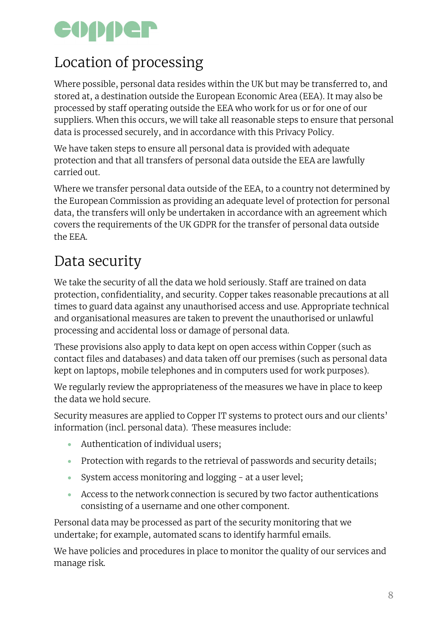## Location of processing

Where possible, personal data resides within the UK but may be transferred to, and stored at, a destination outside the European Economic Area (EEA). It may also be processed by staff operating outside the EEA who work for us or for one of our suppliers. When this occurs, we will take all reasonable steps to ensure that personal data is processed securely, and in accordance with this Privacy Policy.

We have taken steps to ensure all personal data is provided with adequate protection and that all transfers of personal data outside the EEA are lawfully carried out.

Where we transfer personal data outside of the EEA, to a country not determined by the European Commission as providing an adequate level of protection for personal data, the transfers will only be undertaken in accordance with an agreement which covers the requirements of the UK GDPR for the transfer of personal data outside the EEA.

## Data security

We take the security of all the data we hold seriously. Staff are trained on data protection, confidentiality, and security. Copper takes reasonable precautions at all times to guard data against any unauthorised access and use. Appropriate technical and organisational measures are taken to prevent the unauthorised or unlawful processing and accidental loss or damage of personal data.

These provisions also apply to data kept on open access within Copper (such as contact files and databases) and data taken off our premises (such as personal data kept on laptops, mobile telephones and in computers used for work purposes).

We regularly review the appropriateness of the measures we have in place to keep the data we hold secure.

Security measures are applied to Copper IT systems to protect ours and our clients' information (incl. personal data). These measures include:

- Authentication of individual users;
- Protection with regards to the retrieval of passwords and security details;
- System access monitoring and logging at a user level;
- Access to the network connection is secured by two factor authentications consisting of a username and one other component.

Personal data may be processed as part of the security monitoring that we undertake; for example, automated scans to identify harmful emails.

We have policies and procedures in place to monitor the quality of our services and manage risk.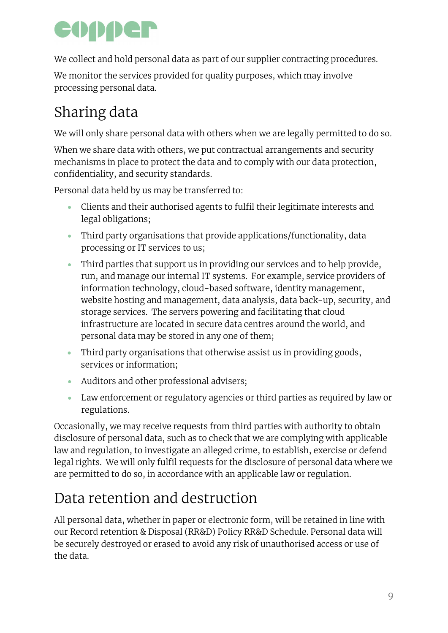We collect and hold personal data as part of our supplier contracting procedures.

We monitor the services provided for quality purposes, which may involve processing personal data.

## Sharing data

We will only share personal data with others when we are legally permitted to do so.

When we share data with others, we put contractual arrangements and security mechanisms in place to protect the data and to comply with our data protection, confidentiality, and security standards.

Personal data held by us may be transferred to:

- Clients and their authorised agents to fulfil their legitimate interests and legal obligations;
- Third party organisations that provide applications/functionality, data processing or IT services to us;
- Third parties that support us in providing our services and to help provide, run, and manage our internal IT systems. For example, service providers of information technology, cloud-based software, identity management, website hosting and management, data analysis, data back-up, security, and storage services. The servers powering and facilitating that cloud infrastructure are located in secure data centres around the world, and personal data may be stored in any one of them;
- Third party organisations that otherwise assist us in providing goods, services or information;
- Auditors and other professional advisers;
- Law enforcement or regulatory agencies or third parties as required by law or regulations.

Occasionally, we may receive requests from third parties with authority to obtain disclosure of personal data, such as to check that we are complying with applicable law and regulation, to investigate an alleged crime, to establish, exercise or defend legal rights. We will only fulfil requests for the disclosure of personal data where we are permitted to do so, in accordance with an applicable law or regulation.

## Data retention and destruction

All personal data, whether in paper or electronic form, will be retained in line with our Record retention & Disposal (RR&D) Policy RR&D Schedule. Personal data will be securely destroyed or erased to avoid any risk of unauthorised access or use of the data.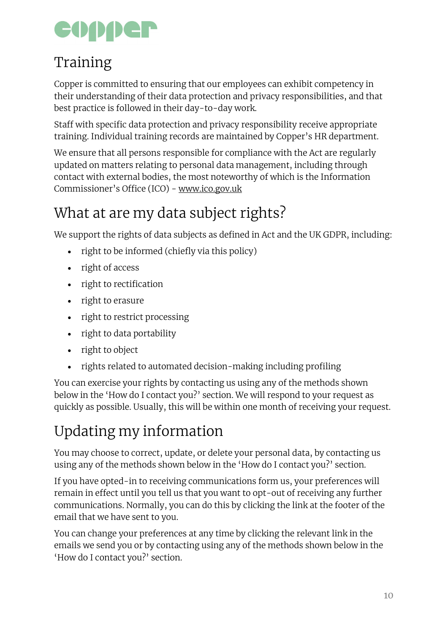## Training

Copper is committed to ensuring that our employees can exhibit competency in their understanding of their data protection and privacy responsibilities, and that best practice is followed in their day-to-day work.

Staff with specific data protection and privacy responsibility receive appropriate training. Individual training records are maintained by Copper's HR department.

We ensure that all persons responsible for compliance with the Act are regularly updated on matters relating to personal data management, including through contact with external bodies, the most noteworthy of which is the Information Commissioner's Office (ICO) - [www.ico.gov.uk](http://www.ico.gov.uk/)

## What at are my data subject rights?

We support the rights of data subjects as defined in Act and the UK GDPR, including:

- right to be informed (chiefly via this policy)
- right of access
- right to rectification
- right to erasure
- right to restrict processing
- right to data portability
- right to object
- rights related to automated decision-making including profiling

You can exercise your rights by contacting us using any of the methods shown below in the 'How do I contact you?' section. We will respond to your request as quickly as possible. Usually, this will be within one month of receiving your request.

## Updating my information

You may choose to correct, update, or delete your personal data, by contacting us using any of the methods shown below in the 'How do I contact you?' section.

If you have opted-in to receiving communications form us, your preferences will remain in effect until you tell us that you want to opt-out of receiving any further communications. Normally, you can do this by clicking the link at the footer of the email that we have sent to you.

You can change your preferences at any time by clicking the relevant link in the emails we send you or by contacting using any of the methods shown below in the 'How do I contact you?' section.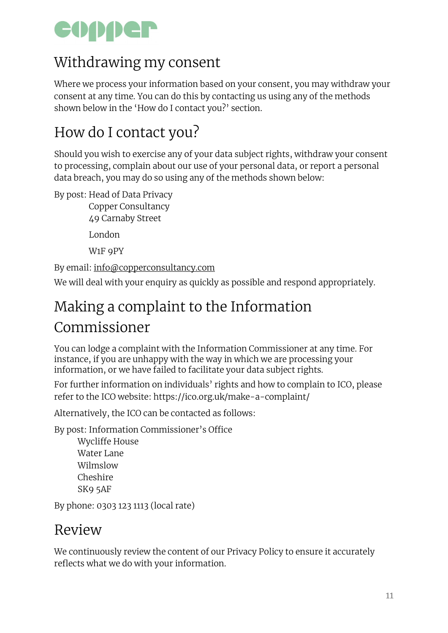### Withdrawing my consent

Where we process your information based on your consent, you may withdraw your consent at any time. You can do this by contacting us using any of the methods shown below in the 'How do I contact you?' section.

### How do I contact you?

Should you wish to exercise any of your data subject rights, withdraw your consent to processing, complain about our use of your personal data, or report a personal data breach, you may do so using any of the methods shown below:

By post: Head of Data Privacy

Copper Consultancy 49 Carnaby Street London W1F 9PY

By email: [info@copperconsultancy.com](mailto:info@copperconsultancy.com)

We will deal with your enquiry as quickly as possible and respond appropriately.

### Making a complaint to the Information Commissioner

You can lodge a complaint with the Information Commissioner at any time. For instance, if you are unhappy with the way in which we are processing your information, or we have failed to facilitate your data subject rights.

For further information on individuals' rights and how to complain to ICO, please refer to the ICO website: https://ico.org.uk/make-a-complaint/

Alternatively, the ICO can be contacted as follows:

By post: Information Commissioner's Office

Wycliffe House Water Lane Wilmslow Cheshire SK9 5AF

By phone: 0303 123 1113 (local rate)

#### Review

We continuously review the content of our Privacy Policy to ensure it accurately reflects what we do with your information.